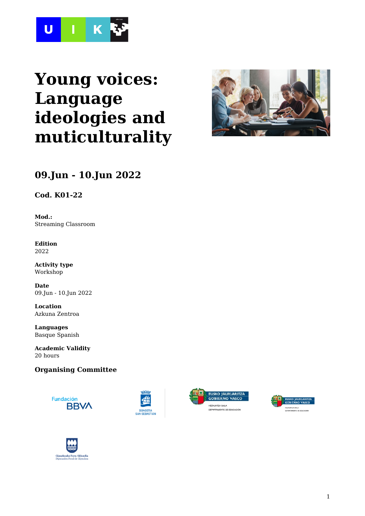

# **Young voices: Language ideologies and muticulturality**



# **09.Jun - 10.Jun 2022**

**Cod. K01-22**

**Mod.:** Streaming Classroom

**Edition** 2022

**Activity type** Workshop

**Date** 09.Jun - 10.Jun 2022

**Location** Azkuna Zentroa

**Languages** Basque Spanish

**Academic Validity** 20 hours

#### **Organising Committee**









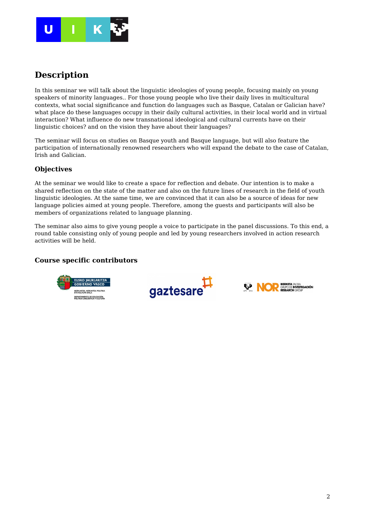

### **Description**

In this seminar we will talk about the linguistic ideologies of young people, focusing mainly on young speakers of minority languages.. For those young people who live their daily lives in multicultural contexts, what social significance and function do languages such as Basque, Catalan or Galician have? what place do these languages occupy in their daily cultural activities, in their local world and in virtual interaction? What influence do new transnational ideological and cultural currents have on their linguistic choices? and on the vision they have about their languages?

The seminar will focus on studies on Basque youth and Basque language, but will also feature the participation of internationally renowned researchers who will expand the debate to the case of Catalan, Irish and Galician.

#### **Objectives**

At the seminar we would like to create a space for reflection and debate. Our intention is to make a shared reflection on the state of the matter and also on the future lines of research in the field of youth linguistic ideologies. At the same time, we are convinced that it can also be a source of ideas for new language policies aimed at young people. Therefore, among the guests and participants will also be members of organizations related to language planning.

The seminar also aims to give young people a voice to participate in the panel discussions. To this end, a round table consisting only of young people and led by young researchers involved in action research activities will be held.

#### **Course specific contributors**





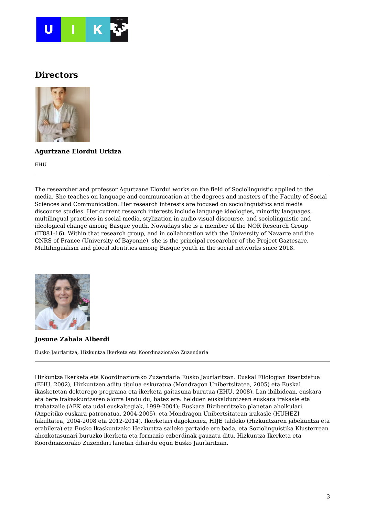

### **Directors**



**Agurtzane Elordui Urkiza**

EHU

The researcher and professor Agurtzane Elordui works on the field of Sociolinguistic applied to the media. She teaches on language and communication at the degrees and masters of the Faculty of Social Sciences and Communication. Her research interests are focused on sociolinguistics and media discourse studies. Her current research interests include language ideologies, minority languages, multilingual practices in social media, stylization in audio-visual discourse, and sociolinguistic and ideological change among Basque youth. Nowadays she is a member of the NOR Research Group (IT881-16). Within that research group, and in collaboration with the University of Navarre and the CNRS of France (University of Bayonne), she is the principal researcher of the Project Gaztesare, Multilingualism and glocal identities among Basque youth in the social networks since 2018.



**Josune Zabala Alberdi**

Eusko Jaurlaritza, Hizkuntza Ikerketa eta Koordinaziorako Zuzendaria

Hizkuntza Ikerketa eta Koordinaziorako Zuzendaria Eusko Jaurlaritzan. Euskal Filologian lizentziatua (EHU, 2002), Hizkuntzen aditu titulua eskuratua (Mondragon Unibertsitatea, 2005) eta Euskal ikasketetan doktorego programa eta ikerketa gaitasuna burutua (EHU, 2008). Lan ibilbidean, euskara eta bere irakaskuntzaren alorra landu du, batez ere: helduen euskalduntzean euskara irakasle eta trebatzaile (AEK eta udal euskaltegiak, 1999-2004); Euskara Biziberritzeko planetan aholkulari (Azpeitiko euskara patronatua, 2004-2005), eta Mondragon Unibertsitatean irakasle (HUHEZI fakultatea, 2004-2008 eta 2012-2014). Ikerketari dagokionez, HIJE taldeko (Hizkuntzaren jabekuntza eta erabilera) eta Eusko Ikaskuntzako Hezkuntza saileko partaide ere bada, eta Soziolinguistika Klusterrean ahozkotasunari buruzko ikerketa eta formazio ezberdinak gauzatu ditu. Hizkuntza Ikerketa eta Koordinaziorako Zuzendari lanetan dihardu egun Eusko Jaurlaritzan.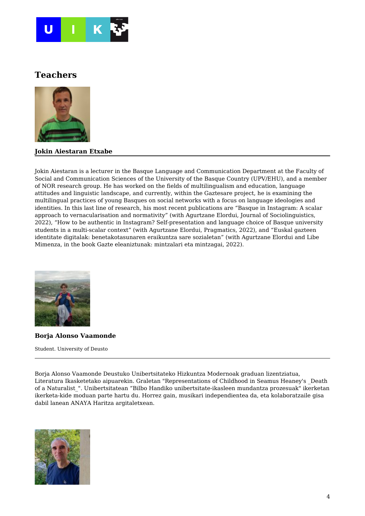

### **Teachers**



#### **Jokin Aiestaran Etxabe**

Jokin Aiestaran is a lecturer in the Basque Language and Communication Department at the Faculty of Social and Communication Sciences of the University of the Basque Country (UPV/EHU), and a member of NOR research group. He has worked on the fields of multilingualism and education, language attitudes and linguistic landscape, and currently, within the Gaztesare project, he is examining the multilingual practices of young Basques on social networks with a focus on language ideologies and identities. In this last line of research, his most recent publications are "Basque in Instagram: A scalar approach to vernacularisation and normativity" (with Agurtzane Elordui, Journal of Sociolinguistics, 2022), "How to be authentic in Instagram? Self-presentation and language choice of Basque university students in a multi-scalar context" (with Agurtzane Elordui, Pragmatics, 2022), and "Euskal gazteen identitate digitalak: benetakotasunaren eraikuntza sare sozialetan" (with Agurtzane Elordui and Libe Mimenza, in the book Gazte eleaniztunak: mintzalari eta mintzagai, 2022).



**Borja Alonso Vaamonde**

Student. University of Deusto

Borja Alonso Vaamonde Deustuko Unibertsitateko Hizkuntza Modernoak graduan lizentziatua, Literatura Ikasketetako aipuarekin. Graletan "Representations of Childhood in Seamus Heaney's \_Death of a Naturalist\_". Unibertsitatean "Bilbo Handiko unibertsitate-ikasleen mundantza prozesuak" ikerketan ikerketa-kide moduan parte hartu du. Horrez gain, musikari independientea da, eta kolaboratzaile gisa dabil lanean ANAYA Haritza argitaletxean.

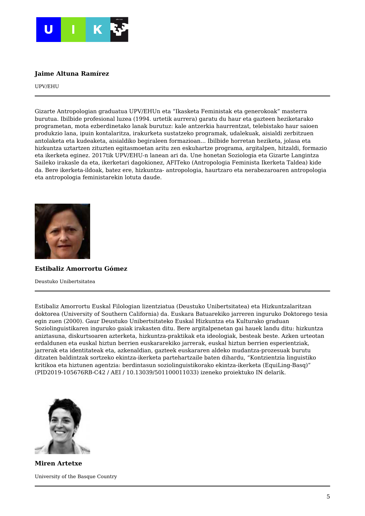

#### **Jaime Altuna Ramírez**

UPV/EHU

Gizarte Antropologian graduatua UPV/EHUn eta "Ikasketa Feministak eta generokoak" masterra burutua. Ibilbide profesional luzea (1994. urtetik aurrera) garatu du haur eta gazteen heziketarako programetan, mota ezberdinetako lanak burutuz: kale antzerkia haurrentzat, telebistako haur saioen produkzio lana, ipuin kontalaritza, irakurketa sustatzeko programak, udalekuak, aisialdi zerbitzuen antolaketa eta kudeaketa, aisialdiko begiraleen formazioan... Ibilbide horretan heziketa, jolasa eta hizkuntza uztartzen zituzten egitasmoetan aritu zen eskuhartze programa, argitalpen, hitzaldi, formazio eta ikerketa eginez. 2017tik UPV/EHU-n lanean ari da. Une honetan Soziologia eta Gizarte Langintza Saileko irakasle da eta, ikerketari dagokionez, AFITeko (Antropologia Feminista Ikerketa Taldea) kide da. Bere ikerketa-ildoak, batez ere, hizkuntza- antropologia, haurtzaro eta nerabezaroaren antropologia eta antropologia feministarekin lotuta daude.



#### **Estibaliz Amorrortu Gómez**

Deustuko Unibertsitatea

Estibaliz Amorrortu Euskal Filologian lizentziatua (Deustuko Unibertsitatea) eta Hizkuntzalaritzan doktorea (University of Southern California) da. Euskara Batuarekiko jarreren inguruko Doktorego tesia egin zuen (2000). Gaur Deustuko Unibertsitateko Euskal Hizkuntza eta Kulturako graduan Soziolinguistikaren inguruko gaiak irakasten ditu. Bere argitalpenetan gai hauek landu ditu: hizkuntza aniztasuna, diskurtsoaren azterketa, hizkuntza-praktikak eta ideologiak, besteak beste. Azken urteotan erdaldunen eta euskal hiztun berrien euskararekiko jarrerak, euskal hiztun berrien esperientziak, jarrerak eta identitateak eta, azkenaldian, gazteek euskararen aldeko mudantza-prozesuak burutu ditzaten baldintzak sortzeko ekintza-ikerketa partehartzaile baten dihardu, "Kontzientzia linguistiko kritikoa eta hiztunen agentzia: berdintasun soziolinguistikorako ekintza-ikerketa (EquiLing-Basq)" (PID2019-105676RB-C42 / AEI / 10.13039/501100011033) izeneko proiektuko IN delarik.



**Miren Artetxe** University of the Basque Country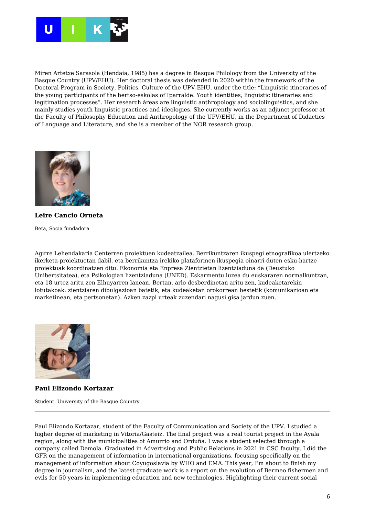

Miren Artetxe Sarasola (Hendaia, 1985) has a degree in Basque Philology from the University of the Basque Country (UPV/EHU). Her doctoral thesis was defended in 2020 within the framework of the Doctoral Program in Society, Politics, Culture of the UPV-EHU, under the title: "Linguistic itineraries of the young participants of the bertso-eskolas of Iparralde. Youth identities, linguistic itineraries and legitimation processes". Her research áreas are linguistic anthropology and sociolinguistics, and she mainly studies youth linguistic practices and ideologies. She currently works as an adjunct professor at the Faculty of Philosophy Education and Anthropology of the UPV/EHU, in the Department of Didactics of Language and Literature, and she is a member of the NOR research group.



**Leire Cancio Orueta**

Beta, Socia fundadora

Agirre Lehendakaria Centerren proiektuen kudeatzailea. Berrikuntzaren ikuspegi etnografikoa ulertzeko ikerketa-proiektuetan dabil, eta berrikuntza irekiko plataformen ikuspegia oinarri duten esku-hartze proiektuak koordinatzen ditu. Ekonomia eta Enpresa Zientzietan lizentziaduna da (Deustuko Unibertsitatea), eta Psikologian lizentziaduna (UNED). Eskarmentu luzea du euskararen normalkuntzan, eta 18 urtez aritu zen Elhuyarren lanean. Bertan, arlo desberdinetan aritu zen, kudeaketarekin lotutakoak: zientziaren dibulgazioan batetik; eta kudeaketan orokorrean bestetik (komunikazioan eta marketinean, eta pertsonetan). Azken zazpi urteak zuzendari nagusi gisa jardun zuen.



**Paul Elizondo Kortazar**

Student. University of the Basque Country

Paul Elizondo Kortazar, student of the Faculty of Communication and Society of the UPV. I studied a higher degree of marketing in Vitoria/Gasteiz. The final project was a real tourist project in the Ayala region, along with the municipalities of Amurrio and Orduña. I was a student selected through a company called Demola. Graduated in Advertising and Public Relations in 2021 in CSC faculty. I did the GFR on the management of information in international organizations, focusing specifically on the management of information about Coyugoslavia by WHO and EMA. This year, I'm about to finish my degree in journalism, and the latest graduate work is a report on the evolution of Bermeo fishermen and evils for 50 years in implementing education and new technologies. Highlighting their current social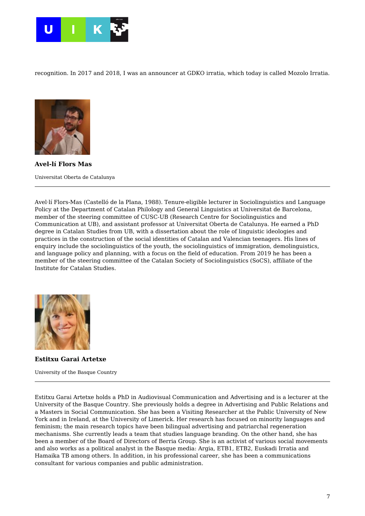

recognition. In 2017 and 2018, I was an announcer at GDKO irratia, which today is called Mozolo Irratia.



**Avel-lí Flors Mas** Universitat Oberta de Catalunya

Avel·lí Flors-Mas (Castelló de la Plana, 1988). Tenure-eligible lecturer in Sociolinguistics and Language Policy at the Department of Catalan Philology and General Linguistics at Universitat de Barcelona, member of the steering committee of CUSC-UB (Research Centre for Sociolinguistics and Communication at UB), and assistant professor at Universitat Oberta de Catalunya. He earned a PhD degree in Catalan Studies from UB, with a dissertation about the role of linguistic ideologies and practices in the construction of the social identities of Catalan and Valencian teenagers. His lines of enquiry include the sociolinguistics of the youth, the sociolinguistics of immigration, demolinguistics, and language policy and planning, with a focus on the field of education. From 2019 he has been a member of the steering committee of the Catalan Society of Sociolinguistics (SoCS), affiliate of the Institute for Catalan Studies.



**Estitxu Garai Artetxe**

University of the Basque Country

Estitxu Garai Artetxe holds a PhD in Audiovisual Communication and Advertising and is a lecturer at the University of the Basque Country. She previously holds a degree in Advertising and Public Relations and a Masters in Social Communication. She has been a Visiting Researcher at the Public University of New York and in Ireland, at the University of Limerick. Her research has focused on minority languages and feminism; the main research topics have been bilingual advertising and patriarchal regeneration mechanisms. She currently leads a team that studies language branding. On the other hand, she has been a member of the Board of Directors of Berria Group. She is an activist of various social movements and also works as a political analyst in the Basque media: Argia, ETB1, ETB2, Euskadi Irratia and Hamaika TB among others. In addition, in his professional career, she has been a communications consultant for various companies and public administration.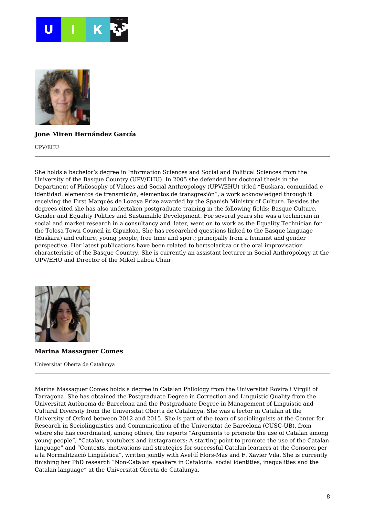



#### **Jone Miren Hernández García**

UPV/EHU

She holds a bachelor's degree in Information Sciences and Social and Political Sciences from the University of the Basque Country (UPV/EHU). In 2005 she defended her doctoral thesis in the Department of Philosophy of Values and Social Anthropology (UPV/EHU) titled "Euskara, comunidad e identidad: elementos de transmisión, elementos de transgresión", a work acknowledged through it receiving the First Marqués de Lozoya Prize awarded by the Spanish Ministry of Culture. Besides the degrees cited she has also undertaken postgraduate training in the following fields: Basque Culture, Gender and Equality Politics and Sustainable Development. For several years she was a technician in social and market research in a consultancy and, later, went on to work as the Equality Technician for the Tolosa Town Council in Gipuzkoa. She has researched questions linked to the Basque language (Euskara) and culture, young people, free time and sport; principally from a feminist and gender perspective. Her latest publications have been related to bertsolaritza or the oral improvisation characteristic of the Basque Country. She is currently an assistant lecturer in Social Anthropology at the UPV/EHU and Director of the Mikel Laboa Chair.



**Marina Massaguer Comes**

Universitat Oberta de Catalunya

Marina Massaguer Comes holds a degree in Catalan Philology from the Universitat Rovira i Virgili of Tarragona. She has obtained the Postgraduate Degree in Correction and Linguistic Quality from the Universitat Autònoma de Barcelona and the Postgraduate Degree in Management of Linguistic and Cultural Diversity from the Universitat Oberta de Catalunya. She was a lector in Catalan at the University of Oxford between 2012 and 2015. She is part of the team of sociolinguists at the Center for Research in Sociolinguistics and Communication of the Universitat de Barcelona (CUSC-UB), from where she has coordinated, among others, the reports "Arguments to promote the use of Catalan among young people", "Catalan, youtubers and instagramers: A starting point to promote the use of the Catalan language" and "Contexts, motivations and strategies for successful Catalan learners at the Consorci per a la Normalització Lingüística", written jointly with Avel·lí Flors-Mas and F. Xavier Vila. She is currently finishing her PhD research "Non-Catalan speakers in Catalonia: social identities, inequalities and the Catalan language" at the Universitat Oberta de Catalunya.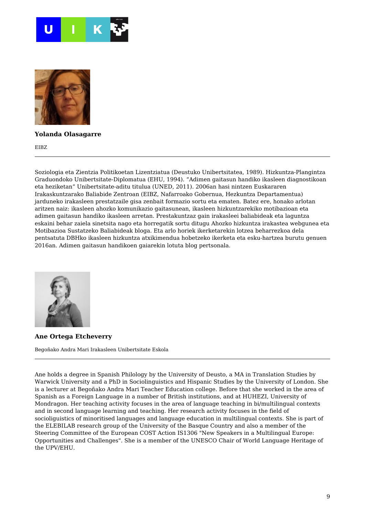



#### **Yolanda Olasagarre**

EIBZ

Soziologia eta Zientzia Politikoetan Lizentziatua (Deustuko Unibertsitatea, 1989). Hizkuntza-Plangintza Graduondoko Unibertsitate-Diplomatua (EHU, 1994). "Adimen gaitasun handiko ikasleen diagnostikoan eta heziketan" Unibertsitate-aditu titulua (UNED, 2011). 2006an hasi nintzen Euskararen Irakaskuntzarako Baliabide Zentroan (EIBZ, Nafarroako Gobernua, Hezkuntza Departamentua) jarduneko irakasleen prestatzaile gisa zenbait formazio sortu eta ematen. Batez ere, honako arlotan aritzen naiz: ikasleen ahozko komunikazio gaitasunean, ikasleen hizkuntzarekiko motibazioan eta adimen gaitasun handiko ikasleen arretan. Prestakuntzaz gain irakasleei baliabideak eta laguntza eskaini behar zaiela sinetsita nago eta horregatik sortu ditugu Ahozko hizkuntza irakastea webgunea eta Motibazioa Sustatzeko Baliabideak bloga. Eta arlo horiek ikerketarekin lotzea beharrezkoa dela pentsatuta DBHko ikasleen hizkuntza atxikimendua hobetzeko ikerketa eta esku-hartzea burutu genuen 2016an. Adimen gaitasun handikoen gaiarekin lotuta blog pertsonala.



**Ane Ortega Etcheverry**

Begoñako Andra Mari Irakasleen Unibertsitate Eskola

Ane holds a degree in Spanish Philology by the University of Deusto, a MA in Translation Studies by Warwick University and a PhD in Sociolinguistics and Hispanic Studies by the University of London. She is a lecturer at Begoñako Andra Mari Teacher Education college. Before that she worked in the area of Spanish as a Foreign Language in a number of British institutions, and at HUHEZI, University of Mondragon. Her teaching activity focuses in the area of language teaching in bi/multilingual contexts and in second language learning and teaching. Her research activity focuses in the field of socioliguistics of minoritised languages and language education in multilingual contexts. She is part of the ELEBILAB research group of the University of the Basque Country and also a member of the Steering Committee of the European COST Action IS1306 "New Speakers in a Multilingual Europe: Opportunities and Challenges". She is a member of the UNESCO Chair of World Language Heritage of the UPV/EHU.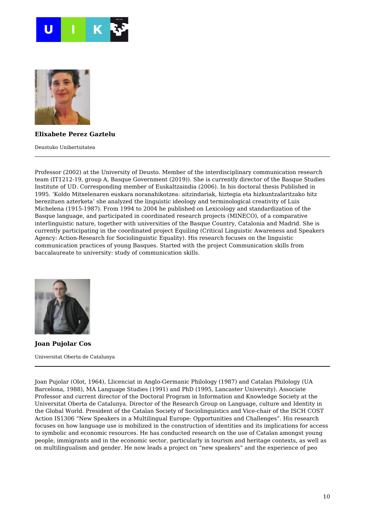



#### **Elixabete Perez Gaztelu**

Deustuko Unibertsitatea

Professor (2002) at the University of Deusto. Member of the interdisciplinary communication research team (IT1212-19, group A, Basque Government (2019)). She is currently director of the Basque Studies Institute of UD. Corresponding member of Euskaltzaindia (2006). In his doctoral thesis Published in 1995. 'Koldo Mitxelenaren euskara noranahikotzea: aitzindariak, hiztegia eta hizkuntzalaritzako hitz berezituen azterketa' she analyzed the linguistic ideology and terminological creativity of Luis Michelena (1915-1987). From 1994 to 2004 he published on Lexicology and standardization of the Basque language, and participated in coordinated research projects (MINECO), of a comparative interlinguistic nature, together with universities of the Basque Country, Catalonia and Madrid. She is currently participating in the coordinated project Equiling (Critical Linguistic Awareness and Speakers Agency: Action-Research for Sociolinguistic Equality). His research focuses on the linguistic communication practices of young Basques. Started with the project Communication skills from baccalaureate to university: study of communication skills.



**Joan Pujolar Cos** Universitat Oberta de Catalunya

Joan Pujolar (Olot, 1964), Llicenciat in Anglo-Germanic Philology (1987) and Catalan Philology (UA Barcelona, 1988), MA Language Studies (1991) and PhD (1995, Lancaster University). Associate Professor and current director of the Doctoral Program in Information and Knowledge Society at the Universitat Oberta de Catalunya. Director of the Research Group on Language, culture and Identity in the Global World. President of the Catalan Society of Sociolinguistics and Vice-chair of the ISCH COST Action IS1306 "New Speakers in a Multilingual Europe: Opportunities and Challenges". His research focuses on how language use is mobilized in the construction of identities and its implications for access to symbolic and economic resources. He has conducted research on the use of Catalan amongst young people, immigrants and in the economic sector, particularly in tourism and heritage contexts, as well as on multilingualism and gender. He now leads a project on "new speakers" and the experience of peo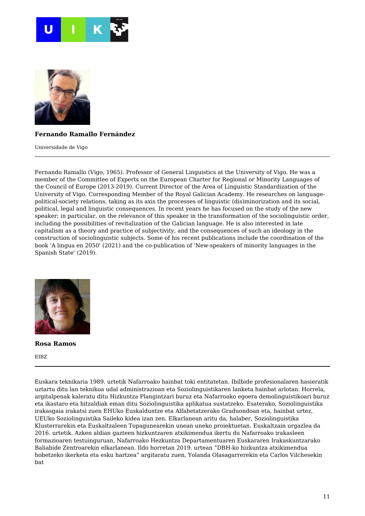



#### **Fernando Ramallo Fernández**

Universidade de Vigo

Fernando Ramallo (Vigo, 1965). Professor of General Linguistics at the University of Vigo. He was a member of the Committee of Experts on the European Charter for Regional or Minority Languages of the Council of Europe (2013-2019). Current Director of the Area of Linguistic Standardization of the University of Vigo. Corresponding Member of the Royal Galician Academy. He researches on languagepolitical-society relations, taking as its axis the processes of linguistic (dis)minorization and its social, political, legal and linguistic consequences. In recent years he has focused on the study of the new speaker; in particular, on the relevance of this speaker in the transformation of the sociolinguistic order, including the possibilities of revitalization of the Galician language. He is also interested in late capitalism as a theory and practice of subjectivity, and the consequences of such an ideology in the construction of sociolinguistic subjects. Some of his recent publications include the coordination of the book 'A lingua en 2050' (2021) and the co-publication of 'New-speakers of minority languages in the Spanish State' (2019).



**Rosa Ramos**

EIBZ

Euskara teknikaria 1989. urtetik Nafarroako hainbat toki entitatetan. Ibilbide profesionalaren hasieratik uztartu ditu lan teknikoa udal administrazioan eta Soziolinguistikaren lanketa hainbat arlotan. Horrela, argitalpenak kaleratu ditu Hizkuntza Plangintzari buruz eta Nafarroako egoera demolinguistikoari buruz eta ikastaro eta hitzaldiak eman ditu Soziolinguistika aplikatua sustatzeko. Esaterako, Soziolinguistika irakasgaia irakatsi zuen EHUko Euskalduntze eta Alfabetatzerako Graduondoan eta, hainbat urtez, UEUko Soziolinguistika Saileko kidea izan zen. Elkarlanean aritu da, halaber, Soziolinguistika Klusterrarekin eta Euskaltzaleen Topagunearekin unean uneko proiektuetan. Euskaltzain urgazlea da 2016. urtetik. Azken aldian gazteen hizkuntzaren atxikimendua ikertu du Nafarroako irakasleen formazioaren testuinguruan, Nafarroako Hezkuntza Departamentuaren Euskararen Irakaskuntzarako Baliabide Zentroarekin elkarlanean. Ildo horretan 2019. urtean "DBH-ko hizkuntza atxikimendua hobetzeko ikerketa eta esku hartzea" argitaratu zuen, Yolanda Olasagarrerekin eta Carlos Vilchesekin bat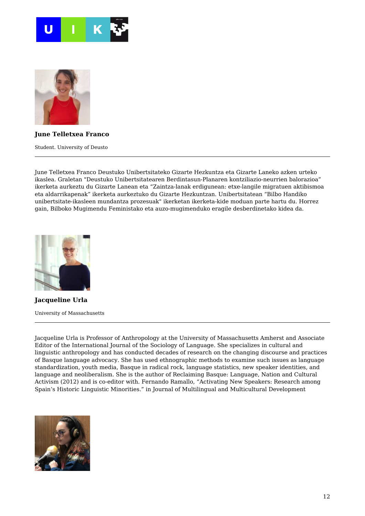



#### **June Telletxea Franco**

Student. University of Deusto

June Telletxea Franco Deustuko Unibertsitateko Gizarte Hezkuntza eta Gizarte Laneko azken urteko ikaslea. Graletan "Deustuko Unibertsitatearen Berdintasun-Planaren kontziliazio-neurrien balorazioa" ikerketa aurkeztu du Gizarte Lanean eta "Zaintza-lanak erdigunean: etxe-langile migratuen aktibismoa eta aldarrikapenak" ikerketa aurkeztuko du Gizarte Hezkuntzan. Unibertsitatean "Bilbo Handiko unibertsitate-ikasleen mundantza prozesuak" ikerketan ikerketa-kide moduan parte hartu du. Horrez gain, Bilboko Mugimendu Feministako eta auzo-mugimenduko eragile desberdinetako kidea da.



**Jacqueline Urla** University of Massachusetts

Jacqueline Urla is Professor of Anthropology at the University of Massachusetts Amherst and Associate Editor of the International Journal of the Sociology of Language. She specializes in cultural and linguistic anthropology and has conducted decades of research on the changing discourse and practices of Basque language advocacy. She has used ethnographic methods to examine such issues as language standardization, youth media, Basque in radical rock, language statistics, new speaker identities, and language and neoliberalism. She is the author of Reclaiming Basque: Language, Nation and Cultural Activism (2012) and is co-editor with. Fernando Ramallo, "Activating New Speakers: Research among Spain's Historic Linguistic Minorities." in Journal of Multilingual and Multicultural Development

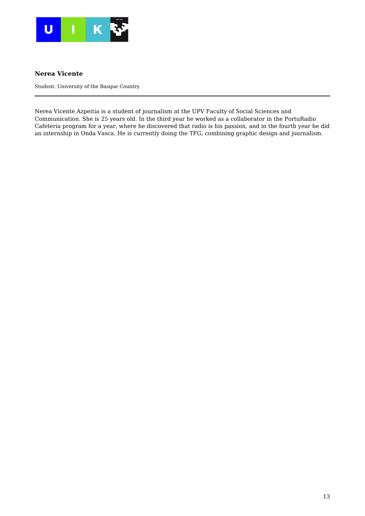

#### **Nerea Vicente**

Student. University of the Basque Country

Nerea Vicente Azpeitia is a student of journalism at the UPV Faculty of Social Sciences and Communication. She is 25 years old. In the third year he worked as a collaborator in the PortuRadio Cafeteria program for a year, where he discovered that radio is his passion, and in the fourth year he did an internship in Onda Vasca. He is currently doing the TFG, combining graphic design and journalism.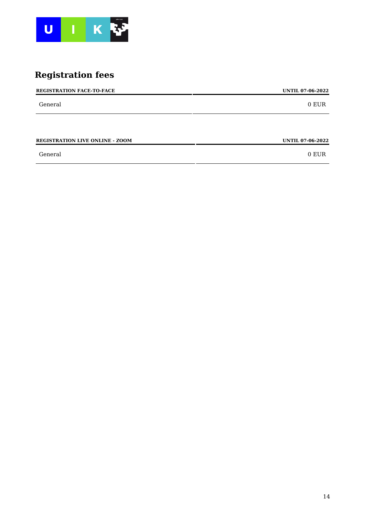

# **Registration fees**

| 0 EUR                   |
|-------------------------|
|                         |
|                         |
| <b>UNTIL 07-06-2022</b> |
|                         |

General 0 EUR